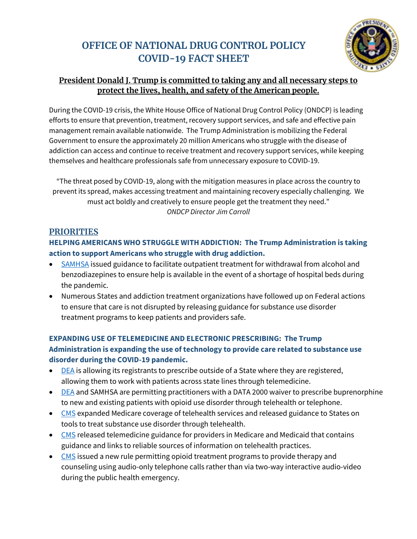# **OFFICE OF NATIONAL DRUG CONTROL POLICY COVID-19 FACT SHEET**



### **President Donald J. Trump is committed to taking any and all necessary steps to protect the lives, health, and safety of the American people.**

During the COVID-19 crisis, the White House Office of National Drug Control Policy (ONDCP) is leading efforts to ensure that prevention, treatment, recovery support services, and safe and effective pain management remain available nationwide. The Trump Administration is mobilizing the Federal Government to ensure the approximately 20 million Americans who struggle with the disease of addiction can access and continue to receive treatment and recovery support services, while keeping themselves and healthcare professionals safe from unnecessary exposure to COVID-19.

"The threat posed by COVID-19, along with the mitigation measures in place across the country to prevent its spread, makes accessing treatment and maintaining recovery especially challenging. We must act boldly and creatively to ensure people get the treatment they need." *ONDCP Director Jim Carroll* 

#### **PRIORITIES**

#### **HELPING AMERICANS WHO STRUGGLE WITH ADDICTION: The Trump Administration is taking action to support Americans who struggle with drug addiction.**

- [SAMHSA](https://www.samhsa.gov/sites/default/files/considerations-crisis-centers-clinicians-treatment-alcohol-benzodiazepine-withdrawal.pdf) issued guidance to facilitate outpatient treatment for withdrawal from alcohol and benzodiazepines to ensure help is available in the event of a shortage of hospital beds during the pandemic.
- Numerous States and addiction treatment organizations have followed up on Federal actions to ensure that care is not disrupted by releasing guidance for substance use disorder treatment programs to keep patients and providers safe.

#### **EXPANDING USE OF TELEMEDICINE AND ELECTRONIC PRESCRIBING: The Trump Administration is expanding the use of technology to provide care related to substance use disorder during the COVID-19 pandemic.**

- [DEA](https://www.deadiversion.usdoj.gov/GDP/(DEA-DC-018)(DEA067)%20DEA%20state%20reciprocity%20(final)(Signed).pdf) is allowing its registrants to prescribe outside of a State where they are registered, allowing them to work with patients across state lines through telemedicine.
- [DEA](https://www.deadiversion.usdoj.gov/GDP/(DEA-DC-022)(DEA068)%20DEA%20SAMHSA%20buprenorphine%20telemedicine%20%20(Final)%20+Esign.pdf) and SAMHSA are permitting practitioners with a DATA 2000 waiver to prescribe buprenorphine to new and existing patients with opioid use disorder through telehealth or telephone.
- [CMS](https://www.cms.gov/newsroom/fact-sheets/medicare-telemedicine-health-care-provider-fact-sheet) expanded Medicare coverage of telehealth services and released guidance to States on tools to treat substance use disorder through telehealth.
- [CMS](https://www.cms.gov/files/document/general-telemedicine-toolkit.pdf) released telemedicine guidance for providers in Medicare and Medicaid that contains guidance and links to reliable sources of information on telehealth practices.
- [CMS](https://www.cms.gov/files/document/covid-final-ifc.pdf) issued a new rule permitting opioid treatment programs to provide therapy and counseling using audio-only telephone calls rather than via two-way interactive audio-video during the public health emergency.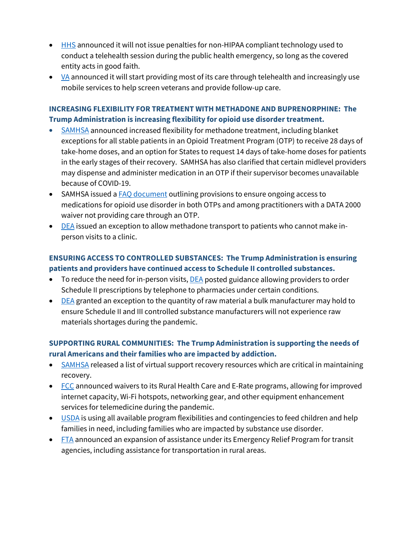- [HHS](https://www.hhs.gov/hipaa/for-professionals/special-topics/emergency-preparedness/notification-enforcement-discretion-telehealth/index.html.) announced it will not issue penalties for non-HIPAA compliant technology used to conduct a telehealth session during the public health emergency, so long as the covered entity acts in good faith.
- **announced it will start providing most of its care through telehealth and increasingly use** mobile services to help screen veterans and provide follow-up care.

#### **INCREASING FLEXIBILITY FOR TREATMENT WITH METHADONE AND BUPRENORPHINE: The Trump Administration is increasing flexibility for opioid use disorder treatment.**

- [SAMHSA](https://www.samhsa.gov/sites/default/files/otp-guidance-20200316.pdf) announced increased flexibility for methadone treatment, including blanket exceptions for all stable patients in an Opioid Treatment Program (OTP) to receive 28 days of take-home doses, and an option for States to request 14 days of take-home doses for patients in the early stages of their recovery. SAMHSA has also clarified that certain midlevel providers may dispense and administer medication in an OTP if their supervisor becomes unavailable because of COVID-19.
- SAMHSA issued a **FAQ** document outlining provisions to ensure ongoing access to medications for opioid use disorder in both OTPs and among practitioners with a DATA 2000 waiver not providing care through an OTP.
- [DEA](https://www.deadiversion.usdoj.gov/GDP/(DEA-DC-015)%20SAMHSA%20Exemption%20NTP%20Deliveries%20(CoronaVirus).pdf) issued an exception to allow methadone transport to patients who cannot make inperson visits to a clinic.

#### **ENSURING ACCESS TO CONTROLLED SUBSTANCES: The Trump Administration is ensuring patients and providers have continued access to Schedule II controlled substances.**

- To reduce the need for in-person visits, **DEA** posted guidance allowing providers to order Schedule II prescriptions by telephone to pharmacies under certain conditions.
- [DEA](https://www.deadiversion.usdoj.gov/GDP/(DEA-DC-020)(DEA074)%20COVID-19%20DEA%20bulk%20mnf%20quota%20%20(final)%20+esign%20a.pdf) granted an exception to the quantity of raw material a bulk manufacturer may hold to ensure Schedule II and III controlled substance manufacturers will not experience raw materials shortages during the pandemic.

#### **SUPPORTING RURAL COMMUNITIES: The Trump Administration is supporting the needs of rural Americans and their families who are impacted by addiction.**

- [SAMHSA](https://www.samhsa.gov/sites/default/files/virtual-recovery-resources.pdf) released a list of virtual support recovery resources which are critical in maintaining recovery.
- [FCC](https://docs.fcc.gov/public/attachments/DOC-363137A1.pdf) announced waivers to its Rural Health Care and E-Rate programs, allowing for improved internet capacity, Wi-Fi hotspots, networking gear, and other equipment enhancement services for telemedicine during the pandemic.
- [USDA](https://www.usda.gov/media/press-releases/2020/03/17/usda-announces-feeding-program-partnership-response-covid-19) is using all available program flexibilities and contingencies to feed children and help families in need, including families who are impacted by substance use disorder.
- [FTA](https://www.transit.dot.gov/about/news/us-department-transportation-announces-increased-flexibility-help-transit-agencies) announced an expansion of assistance under its Emergency Relief Program for transit agencies, including assistance for transportation in rural areas.